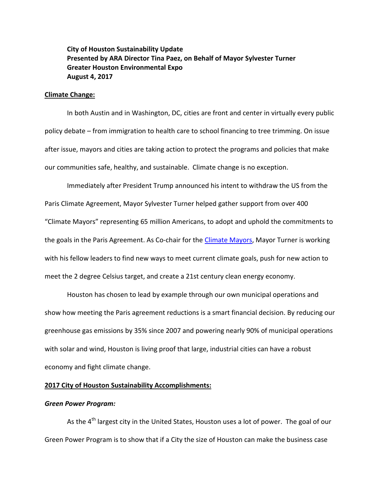# **City of Houston Sustainability Update Presented by ARA Director Tina Paez, on Behalf of Mayor Sylvester Turner Greater Houston Environmental Expo August 4, 2017**

## **Climate Change:**

In both Austin and in Washington, DC, cities are front and center in virtually every public policy debate – from immigration to health care to school financing to tree trimming. On issue after issue, mayors and cities are taking action to protect the programs and policies that make our communities safe, healthy, and sustainable. Climate change is no exception.

Immediately after President Trump announced his intent to withdraw the US from the Paris Climate Agreement, Mayor Sylvester Turner helped gather support from over 400 "Climate Mayors" representing 65 million Americans, to adopt and uphold the commitments to the goals in the Paris Agreement. As Co-chair for th[e Climate Mayors,](http://www.climatemayors.org/) Mayor Turner is working with his fellow leaders to find new ways to meet current climate goals, push for new action to meet the 2 degree Celsius target, and create a 21st century clean energy economy.

Houston has chosen to lead by example through our own municipal operations and show how meeting the Paris agreement reductions is a smart financial decision. By reducing our greenhouse gas emissions by 35% since 2007 and powering nearly 90% of municipal operations with solar and wind, Houston is living proof that large, industrial cities can have a robust economy and fight climate change.

# **2017 City of Houston Sustainability Accomplishments:**

## *Green Power Program:*

As the  $4<sup>th</sup>$  largest city in the United States, Houston uses a lot of power. The goal of our Green Power Program is to show that if a City the size of Houston can make the business case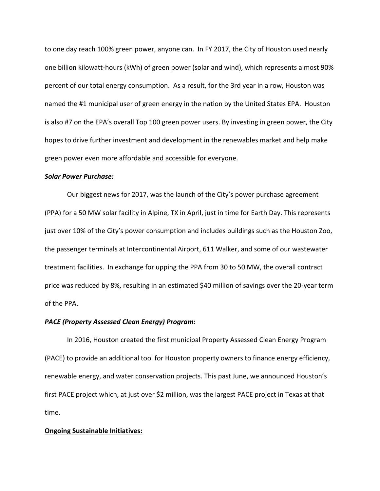to one day reach 100% green power, anyone can. In FY 2017, the City of Houston used nearly one billion kilowatt-hours (kWh) of green power (solar and wind), which represents almost 90% percent of our total energy consumption. As a result, for the 3rd year in a row, Houston was named the #1 municipal user of green energy in the nation by the United States EPA. Houston is also #7 on the EPA's overall Top 100 green power users. By investing in green power, the City hopes to drive further investment and development in the renewables market and help make green power even more affordable and accessible for everyone.

#### *Solar Power Purchase:*

Our biggest news for 2017, was the launch of the City's power purchase agreement (PPA) for a 50 MW solar facility in Alpine, TX in April, just in time for Earth Day. This represents just over 10% of the City's power consumption and includes buildings such as the Houston Zoo, the passenger terminals at Intercontinental Airport, 611 Walker, and some of our wastewater treatment facilities. In exchange for upping the PPA from 30 to 50 MW, the overall contract price was reduced by 8%, resulting in an estimated \$40 million of savings over the 20-year term of the PPA.

## *PACE (Property Assessed Clean Energy) Program:*

In 2016, Houston created the first municipal Property Assessed Clean Energy Program (PACE) to provide an additional tool for Houston property owners to finance energy efficiency, renewable energy, and water conservation projects. This past June, we announced Houston's first PACE project which, at just over \$2 million, was the largest PACE project in Texas at that time.

#### **Ongoing Sustainable Initiatives:**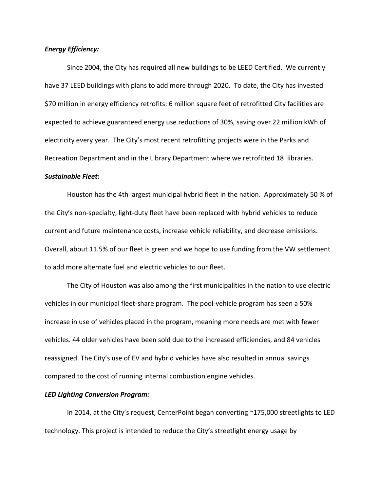### *Energy Efficiency:*

Since 2004, the City has required all new buildings to be LEED Certified. We currently have 37 LEED buildings with plans to add more through 2020. To date, the City has invested \$70 million in energy efficiency retrofits: 6 million square feet of retrofitted City facilities are expected to achieve guaranteed energy use reductions of 30%, saving over 22 million kWh of electricity every year. The City's most recent retrofitting projects were in the Parks and Recreation Department and in the Library Department where we retrofitted 18 libraries.

## *Sustainable Fleet:*

Houston has the 4th largest municipal hybrid fleet in the nation. Approximately 50 % of the City's non-specialty, light-duty fleet have been replaced with hybrid vehicles to reduce current and future maintenance costs, increase vehicle reliability, and decrease emissions. Overall, about 11.5% of our fleet is green and we hope to use funding from the VW settlement to add more alternate fuel and electric vehicles to our fleet.

The City of Houston was also among the first municipalities in the nation to use electric vehicles in our municipal fleet-share program. The pool-vehicle program has seen a 50% increase in use of vehicles placed in the program, meaning more needs are met with fewer vehicles. 44 older vehicles have been sold due to the increased efficiencies, and 84 vehicles reassigned. The City's use of EV and hybrid vehicles have also resulted in annual savings compared to the cost of running internal combustion engine vehicles.

#### *LED Lighting Conversion Program:*

In 2014, at the City's request, CenterPoint began converting  $\sim$ 175,000 streetlights to LED technology. This project is intended to reduce the City's streetlight energy usage by